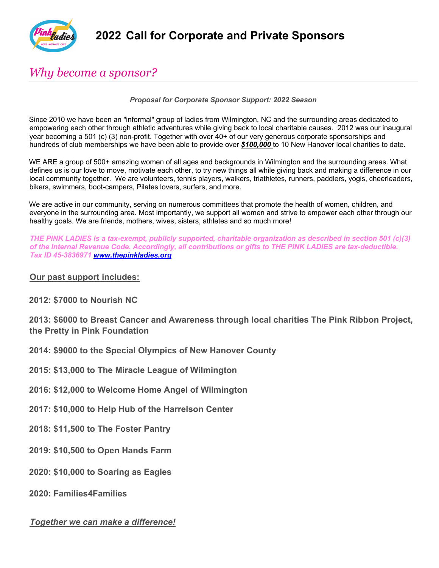



## *Why become a sponsor?*

*Proposal for Corporate Sponsor Support: 2022 Season*

Since 2010 we have been an "informal" group of ladies from Wilmington, NC and the surrounding areas dedicated to empowering each other through athletic adventures while giving back to local charitable causes. 2012 was our inaugural year becoming a 501 (c) (3) non-profit. Together with over 40+ of our very generous corporate sponsorships and hundreds of club memberships we have been able to provide over *\$100,000* to 10 New Hanover local charities to date.

WE ARE a group of 500+ amazing women of all ages and backgrounds in Wilmington and the surrounding areas. What defines us is our love to move, motivate each other, to try new things all while giving back and making a difference in our local community together. We are volunteers, tennis players, walkers, triathletes, runners, paddlers, yogis, cheerleaders, bikers, swimmers, boot-campers, Pilates lovers, surfers, and more.

We are active in our community, serving on numerous committees that promote the health of women, children, and everyone in the surrounding area. Most importantly, we support all women and strive to empower each other through our healthy goals. We are friends, mothers, wives, sisters, athletes and so much more!

*THE PINK LADIES is a tax-exempt, publicly supported, charitable organization as described in section 501 (c)(3) of the Internal Revenue Code. Accordingly, all contributions or gifts to THE PINK LADIES are tax-deductible. Tax ID 45-3836971 www.thepinkladies.org* 

#### **Our past support includes:**

**2012: \$7000 to Nourish NC** 

**2013: \$6000 to Breast Cancer and Awareness through local charities The Pink Ribbon Project, the Pretty in Pink Foundation** 

- **2014: \$9000 to the Special Olympics of New Hanover County**
- **2015: \$13,000 to The Miracle League of Wilmington**
- **2016: \$12,000 to Welcome Home Angel of Wilmington**
- **2017: \$10,000 to Help Hub of the Harrelson Center**
- **2018: \$11,500 to The Foster Pantry**
- **2019: \$10,500 to Open Hands Farm**
- **2020: \$10,000 to Soaring as Eagles**
- **2020: Families4Families**

### *Together we can make a difference!*